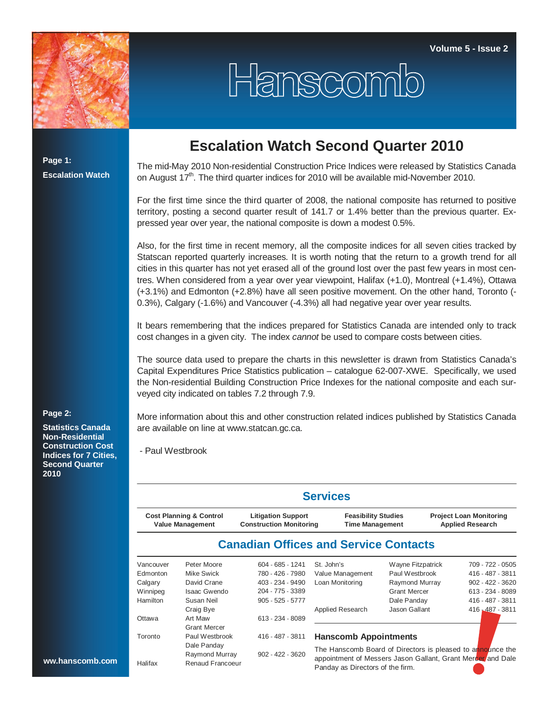

## Hanscomb

**Page 1: Escalation Watch**

## **Escalation Watch Second Quarter 2010**

The mid-May 2010 Non-residential Construction Price Indices were released by Statistics Canada on August  $17<sup>th</sup>$ . The third quarter indices for 2010 will be available mid-November 2010.

For the first time since the third quarter of 2008, the national composite has returned to positive territory, posting a second quarter result of 141.7 or 1.4% better than the previous quarter. Expressed year over year, the national composite is down a modest 0.5%.

Also, for the first time in recent memory, all the composite indices for all seven cities tracked by Statscan reported quarterly increases. It is worth noting that the return to a growth trend for all cities in this quarter has not yet erased all of the ground lost over the past few years in most centres. When considered from a year over year viewpoint, Halifax (+1.0), Montreal (+1.4%), Ottawa (+3.1%) and Edmonton (+2.8%) have all seen positive movement. On the other hand, Toronto (- 0.3%), Calgary (-1.6%) and Vancouver (-4.3%) all had negative year over year results.

It bears remembering that the indices prepared for Statistics Canada are intended only to track cost changes in a given city. The index *cannot* be used to compare costs between cities.

The source data used to prepare the charts in this newsletter is drawn from Statistics Canada's Capital Expenditures Price Statistics publication – catalogue 62-007-XWE. Specifically, we used the Non-residential Building Construction Price Indexes for the national composite and each surveyed city indicated on tables 7.2 through 7.9.

More information about this and other construction related indices published by Statistics Canada are available on line at www.statcan.gc.ca.

- Paul Westbrook

|                 |                                                               |                                                             | <b>Services</b>                                                                                                           |                     |                                                           |  |  |  |
|-----------------|---------------------------------------------------------------|-------------------------------------------------------------|---------------------------------------------------------------------------------------------------------------------------|---------------------|-----------------------------------------------------------|--|--|--|
|                 | <b>Cost Planning &amp; Control</b><br><b>Value Management</b> | <b>Litigation Support</b><br><b>Construction Monitoring</b> | <b>Feasibility Studies</b><br><b>Time Management</b>                                                                      |                     | <b>Project Loan Monitoring</b><br><b>Applied Research</b> |  |  |  |
|                 |                                                               | <b>Canadian Offices and Service Contacts</b>                |                                                                                                                           |                     |                                                           |  |  |  |
| Vancouver       | Peter Moore                                                   | 604 - 685 - 1241                                            | St. John's                                                                                                                | Wayne Fitzpatrick   | 709 - 722 - 0505                                          |  |  |  |
| Edmonton        | Mike Swick                                                    | 780 - 426 - 7980                                            | Value Management                                                                                                          | Paul Westbrook      | 416 - 487 - 3811                                          |  |  |  |
| Calgary         | David Crane                                                   | 403 - 234 - 9490                                            | Loan Monitoring                                                                                                           | Raymond Murray      | 902 - 422 - 3620                                          |  |  |  |
| Winnipeg        | <b>Isaac Gwendo</b>                                           | 204 - 775 - 3389                                            |                                                                                                                           | <b>Grant Mercer</b> | 613 - 234 - 8089                                          |  |  |  |
| <b>Hamilton</b> | Susan Neil                                                    | $905 - 525 - 5777$                                          |                                                                                                                           | Dale Panday         | 416 - 487 - 3811                                          |  |  |  |
|                 | Craig Bye                                                     |                                                             | Applied Research                                                                                                          | Jason Gallant       | 416, 487 - 3811                                           |  |  |  |
| Ottawa          | Art Maw                                                       | 613 - 234 - 8089                                            |                                                                                                                           |                     |                                                           |  |  |  |
|                 | <b>Grant Mercer</b>                                           |                                                             |                                                                                                                           |                     |                                                           |  |  |  |
| Toronto         | Paul Westbrook                                                | 416 - 487 - 3811                                            | <b>Hanscomb Appointments</b>                                                                                              |                     |                                                           |  |  |  |
|                 | Dale Panday                                                   |                                                             |                                                                                                                           |                     |                                                           |  |  |  |
|                 | Raymond Murray                                                | 902 - 422 - 3620                                            | The Hanscomb Board of Directors is pleased to announce the<br>appointment of Messers Jason Gallant, Grant Mercer/and Dale |                     |                                                           |  |  |  |
| Halifax         | Renaud Francoeur                                              |                                                             | Design and Discovery of the first con-                                                                                    |                     |                                                           |  |  |  |

Panday as Directors of the firm.

## **Page 2:**

**Statistics Canada Non-Residential Construction Cost Indices for 7 Cities, Second Quarter 2010**